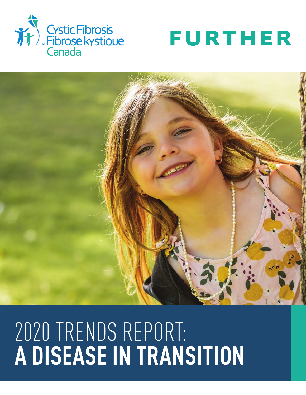





# 2020 TRENDS REPORT: **A DISEASE IN TRANSITION**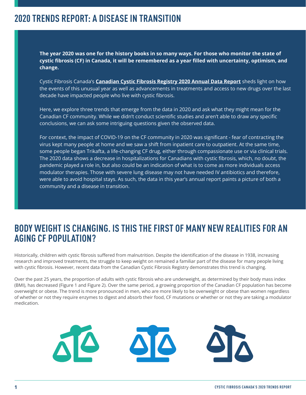#### **2020 TRENDS REPORT: A DISEASE IN TRANSITION**

**The year 2020 was one for the history books in so many ways. For those who monitor the state of cystic fibrosis (CF) in Canada, it will be remembered as a year filled with uncertainty, optimism, and change.** 

Cystic Fibrosis Canada's **Canadian Cystic Fibrosis Registry 2020 Annual Data Report** sheds light on how the events of this unusual year as well as advancements in treatments and access to new drugs over the last decade have impacted people who live with cystic fibrosis.

Here, we explore three trends that emerge from the data in 2020 and ask what they might mean for the Canadian CF community. While we didn't conduct scientific studies and aren't able to draw any specific conclusions, we can ask some intriguing questions given the observed data.

For context, the impact of COVID-19 on the CF community in 2020 was significant - fear of contracting the virus kept many people at home and we saw a shift from inpatient care to outpatient. At the same time, some people began Trikafta, a life-changing CF drug, either through compassionate use or via clinical trials. The 2020 data shows a decrease in hospitalizations for Canadians with cystic fibrosis, which, no doubt, the pandemic played a role in, but also could be an indication of what is to come as more individuals access modulator therapies. Those with severe lung disease may not have needed IV antibiotics and therefore, were able to avoid hospital stays. As such, the data in this year's annual report paints a picture of both a community and a disease in transition.

#### **BODY WEIGHT IS CHANGING. IS THIS THE FIRST OF MANY NEW REALITIES FOR AN AGING CF POPULATION?**

Historically, children with cystic fibrosis suffered from malnutrition. Despite the identification of the disease in 1938, increasing research and improved treatments, the struggle to keep weight on remained a familiar part of the disease for many people living with cystic fibrosis. However, recent data from the Canadian Cystic Fibrosis Registry demonstrates this trend is changing.

Over the past 25 years, the proportion of adults with cystic fibrosis who are underweight, as determined by their body mass index (BMI), has decreased (Figure 1 and Figure 2). Over the same period, a growing proportion of the Canadian CF population has become overweight or obese. The trend is more pronounced in men, who are more likely to be overweight or obese than women regardless of whether or not they require enzymes to digest and absorb their food, CF mutations or whether or not they are taking a modulator medication.

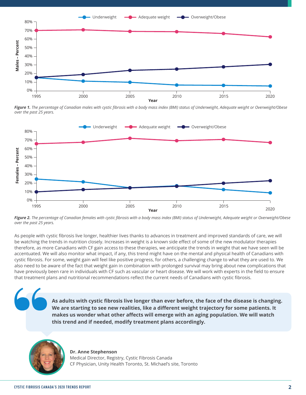

*Figure 1. The percentage of Canadian males with cystic fibrosis with a body mass index (BMI) status of Underweight, Adequate weight or Overweight/Obese over the past 25 years.*



*Figure 2. The percentage of Canadian females with cystic fibrosis with a body mass index (BMI) status of Underweight, Adequate weight or Overweight/Obese over the past 25 years.*

As people with cystic fibrosis live longer, healthier lives thanks to advances in treatment and improved standards of care, we will be watching the trends in nutrition closely. Increases in weight is a known side effect of some of the new modulator therapies therefore, as more Canadians with CF gain access to these therapies, we anticipate the trends in weight that we have seen will be accentuated. We will also monitor what impact, if any, this trend might have on the mental and physical health of Canadians with cystic fibrosis. For some, weight gain will feel like positive progress, for others, a challenging change to what they are used to. We also need to be aware of the fact that weight gain in combination with prolonged survival may bring about new complications that have previously been rare in individuals with CF such as vascular or heart disease. We will work with experts in the field to ensure that treatment plans and nutritional recommendations reflect the current needs of Canadians with cystic fibrosis.

> **As adults with cystic fibrosis live longer than ever before, the face of the disease is changing. We are starting to see new realities, like a different weight trajectory for some patients. It makes us wonder what other affects will emerge with an aging population. We will watch this trend and if needed, modify treatment plans accordingly.**



**Dr. Anne Stephenson** Medical Director, Registry, Cystic Fibrosis Canada CF Physician, Unity Health Toronto, St. Michael's site, Toronto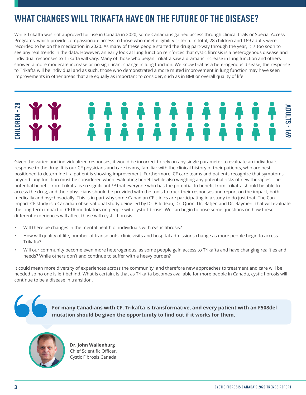# **WHAT CHANGES WILL TRIKAFTA HAVE ON THE FUTURE OF THE DISEASE?**

While Trikafta was not approved for use in Canada in 2020, some Canadians gained access through clinical trials or Special Access Programs, which provide compassionate access to those who meet eligibility criteria. In total, 28 children and 169 adults were recorded to be on the medication in 2020. As many of these people started the drug part-way through the year, it is too soon to see any real trends in the data. However, an early look at lung function reinforces that cystic fibrosis is a heterogenous disease and individual responses to Trikafta will vary. Many of those who began Trikafta saw a dramatic increase in lung function and others showed a more moderate increase or no significant change in lung function. We know that as a heterogenous disease, the response to Trikafta will be individual and as such, those who demonstrated a more muted improvement in lung function may have seen improvements in other areas that are equally as important to consider, such as in BMI or overall quality of life.

# **HILDREN-28 CHILDREN - 28 ADULTS - 169**

Given the varied and individualized responses, it would be incorrect to rely on any single parameter to evaluate an individual's response to the drug. It is our CF physicians and care teams, familiar with the clinical history of their patients, who are best positioned to determine if a patient is showing improvement. Furthermore, CF care teams and patients recognize that symptoms beyond lung function must be considered when evaluating benefit while also weighing any potential risks of new therapies. The potential benefit from Trikafta is so significant<sup>12</sup> that everyone who has the potential to benefit from Trikafta should be able to access the drug, and their physicians should be provided with the tools to track their responses and report on the impact, both medically and psychosocially. This is in part why some Canadian CF clinics are participating in a study to do just that. The Can-Impact-CF study is a Canadian observational study being led by Dr. Bilodeau, Dr. Quon, Dr. Ratjen and Dr. Rayment that will evaluate the long-term impact of CFTR modulators on people with cystic fibrosis. We can begin to pose some questions on how these different experiences will affect those with cystic fibrosis.

- Will there be changes in the mental health of individuals with cystic fibrosis?
- How will quality of life, number of transplants, clinic visits and hospital admissions change as more people begin to access Trikafta?
- Will our community become even more heterogenous, as some people gain access to Trikafta and have changing realities and needs? While others don't and continue to suffer with a heavy burden?

It could mean more diversity of experiences across the community, and therefore new approaches to treatment and care will be needed so no one is left behind. What is certain, is that as Trikafta becomes available for more people in Canada, cystic fibrosis will continue to be a disease in transition.





**Dr. John Wallenburg** Chief Scientific Officer, Cystic Fibrosis Canada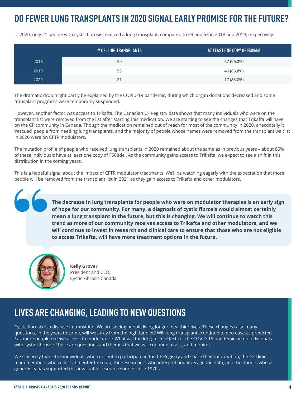# **DO FEWER LUNG TRANSPLANTS IN 2020 SIGNAL EARLY PROMISE FOR THE FUTURE?**

In 2020, only 21 people with cystic fibrosis received a lung transplant, compared to 59 and 53 in 2018 and 2019, respectively.

|      | # OF LUNG TRANSPLANTS | AT LEAST ONE COPY OF F508del |
|------|-----------------------|------------------------------|
| 2018 | 59                    | 57 (96.0%)                   |
| 2019 | 53                    | 46 (86.8%)                   |
| 2020 | 21                    | 17 (85.0%)                   |

The dramatic drop might partly be explained by the COVID-19 pandemic, during which organ donations decreased and some transplant programs were temporarily suspended.

However, another factor was access to Trikafta. The Canadian CF Registry data shows that many individuals who were on the transplant list were removed from the list after starting this medication. We are starting to see the changes that Trikafta will have on the CF community in Canada. Though the medication remained out of reach for most of the community in 2020, anecdotally it 'rescued' people from needing lung transplants, and the majority of people whose names were removed from the transplant waitlist in 2020 were on CFTR modulators.

The mutation profile of people who received lung transplants in 2020 remained about the same as in previous years – about 85% of these individuals have at least one copy of F508del. As the community gains access to Trikafta, we expect to see a shift in this distribution in the coming years.

This is a hopeful signal about the impact of CFTR modulator treatments. We'll be watching eagerly with the expectation that more people will be removed from the transplant list in 2021 as they gain access to Trikafta and other modulators.

> **The decrease in lung transplants for people who were on modulator therapies is an early sign of hope for our community. For many, a diagnosis of cystic fibrosis would almost certainly mean a lung transplant in the future, but this is changing. We will continue to watch this trend as more of our community receives access to Trikafta and other modulators, and we will continue to invest in research and clinical care to ensure that those who are not eligible to access Trikafta, will have more treatment options in the future.**



 $\overline{\phantom{a}}$ 

**Kelly Grover** President and CEO, Cystic Fibrosis Canada

# **LIVES ARE CHANGING, LEADING TO NEW QUESTIONS**

Cystic fibrosis is a disease in transition. We are seeing people living longer, healthier lives. These changes raise many questions. In the years to come, will we stray from the high-fat diet? Will lung transplants continue to decrease as predicted <sup>3</sup> as more people receive access to modulators? What will the long-term effects of the COVID-19 pandemic be on individuals with cystic fibrosis? These are questions and themes that we will continue to ask, and monitor.

We sincerely thank the individuals who consent to participate in the CF Registry and share their information, the CF clinic team members who collect and enter the data, the researchers who interpret and leverage the data, and the donors whose generosity has supported this invaluable resource source since 1970s.